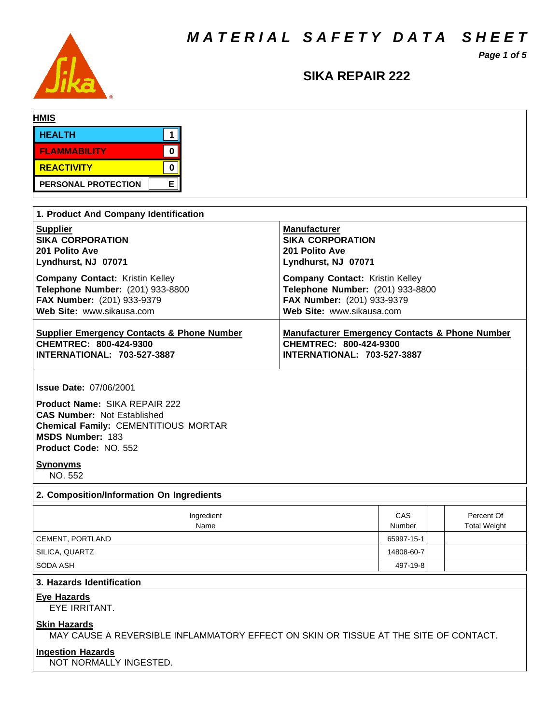*M A T E R I A L S A F E T Y D A T A S H E E T*

*Page 1 of 5*



## **SIKA REPAIR 222**

| <b>HMIS</b>         |   |
|---------------------|---|
| <b>HEALTH</b>       |   |
| <b>FLAMMABILITY</b> | 0 |
| <b>REACTIVITY</b>   |   |
| PERSONAL PROTECTION | Е |

| 1. Product And Company Identification                                 |                                                           |  |  |  |  |  |
|-----------------------------------------------------------------------|-----------------------------------------------------------|--|--|--|--|--|
| <b>Supplier</b>                                                       | <b>Manufacturer</b>                                       |  |  |  |  |  |
| <b>SIKA CORPORATION</b>                                               | <b>SIKA CORPORATION</b>                                   |  |  |  |  |  |
| 201 Polito Ave                                                        | 201 Polito Ave                                            |  |  |  |  |  |
| Lyndhurst, NJ 07071                                                   | Lyndhurst, NJ 07071                                       |  |  |  |  |  |
| <b>Company Contact:</b> Kristin Kelley                                | <b>Company Contact: Kristin Kelley</b>                    |  |  |  |  |  |
| Telephone Number: (201) 933-8800                                      | Telephone Number: (201) 933-8800                          |  |  |  |  |  |
| FAX Number: (201) 933-9379                                            | FAX Number: (201) 933-9379                                |  |  |  |  |  |
| Web Site: www.sikausa.com                                             | Web Site: www.sikausa.com                                 |  |  |  |  |  |
| <b>Supplier Emergency Contacts &amp; Phone Number</b>                 | <b>Manufacturer Emergency Contacts &amp; Phone Number</b> |  |  |  |  |  |
| CHEMTREC: 800-424-9300                                                | CHEMTREC: 800-424-9300                                    |  |  |  |  |  |
| <b>INTERNATIONAL: 703-527-3887</b>                                    | INTERNATIONAL: 703-527-3887                               |  |  |  |  |  |
| <b>Issue Date: 07/06/2001</b><br><b>Product Name: SIKA REPAIR 222</b> |                                                           |  |  |  |  |  |

**CAS Number:** Not Established **Chemical Family:** CEMENTITIOUS MORTAR **MSDS Number:** 183 **Product Code:** NO. 552

## **Synonyms**

NO. 552

## **2. Composition/Information On Ingredients**

| Ingredient<br>Name | CAS<br>Number | Percent Of<br><b>Total Weight</b> |
|--------------------|---------------|-----------------------------------|
| CEMENT, PORTLAND   | 65997-15-1    |                                   |
| SILICA, QUARTZ     | 14808-60-7    |                                   |
| SODA ASH           | 497-19-8      |                                   |

## **3. Hazards Identification**

## **Eye Hazards**

EYE IRRITANT.

## **Skin Hazards**

MAY CAUSE A REVERSIBLE INFLAMMATORY EFFECT ON SKIN OR TISSUE AT THE SITE OF CONTACT.

## **Ingestion Hazards**

NOT NORMALLY INGESTED.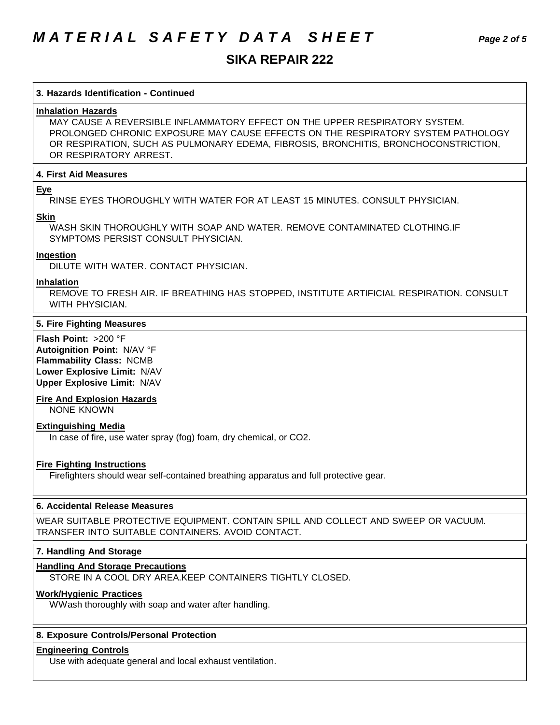# *M A T E R I A L S A F E T Y D A T A S H E E T Page 2 of 5*

## **SIKA REPAIR 222**

## **3. Hazards Identification - Continued**

## **Inhalation Hazards**

MAY CAUSE A REVERSIBLE INFLAMMATORY EFFECT ON THE UPPER RESPIRATORY SYSTEM. PROLONGED CHRONIC EXPOSURE MAY CAUSE EFFECTS ON THE RESPIRATORY SYSTEM PATHOLOGY OR RESPIRATION, SUCH AS PULMONARY EDEMA, FIBROSIS, BRONCHITIS, BRONCHOCONSTRICTION, OR RESPIRATORY ARREST.

## **4. First Aid Measures**

## **Eye**

RINSE EYES THOROUGHLY WITH WATER FOR AT LEAST 15 MINUTES. CONSULT PHYSICIAN.

#### **Skin**

WASH SKIN THOROUGHLY WITH SOAP AND WATER. REMOVE CONTAMINATED CLOTHING.IF SYMPTOMS PERSIST CONSULT PHYSICIAN.

## **Ingestion**

DILUTE WITH WATER. CONTACT PHYSICIAN.

#### **Inhalation**

REMOVE TO FRESH AIR. IF BREATHING HAS STOPPED, INSTITUTE ARTIFICIAL RESPIRATION. CONSULT WITH PHYSICIAN.

### **5. Fire Fighting Measures**

**Flash Point:** >200 °F **Autoignition Point:** N/AV °F **Flammability Class:** NCMB **Lower Explosive Limit:** N/AV **Upper Explosive Limit:** N/AV

## **Fire And Explosion Hazards**

NONE KNOWN

## **Extinguishing Media**

In case of fire, use water spray (fog) foam, dry chemical, or CO2.

## **Fire Fighting Instructions**

Firefighters should wear self-contained breathing apparatus and full protective gear.

### **6. Accidental Release Measures**

WEAR SUITABLE PROTECTIVE EQUIPMENT. CONTAIN SPILL AND COLLECT AND SWEEP OR VACUUM. TRANSFER INTO SUITABLE CONTAINERS. AVOID CONTACT.

## **7. Handling And Storage**

## **Handling And Storage Precautions**

STORE IN A COOL DRY AREA.KEEP CONTAINERS TIGHTLY CLOSED.

## **Work/Hygienic Practices**

WWash thoroughly with soap and water after handling.

## **8. Exposure Controls/Personal Protection**

## **Engineering Controls**

Use with adequate general and local exhaust ventilation.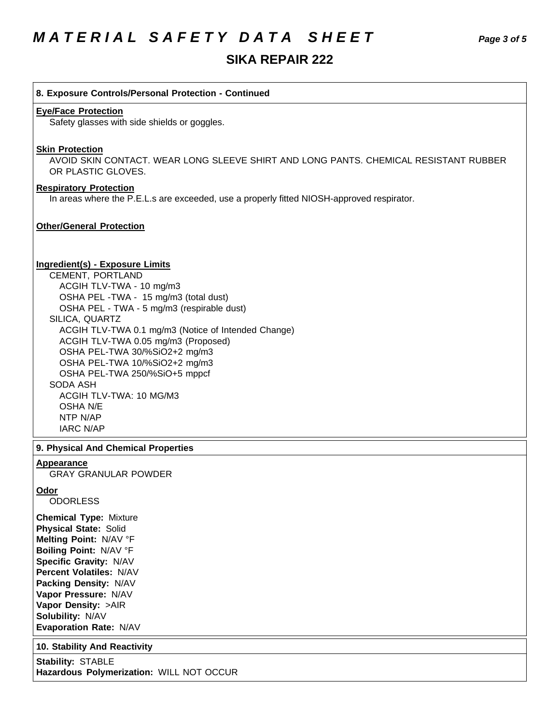## **8. Exposure Controls/Personal Protection - Continued**

### **Eye/Face Protection**

Safety glasses with side shields or goggles.

### **Skin Protection**

AVOID SKIN CONTACT. WEAR LONG SLEEVE SHIRT AND LONG PANTS. CHEMICAL RESISTANT RUBBER OR PLASTIC GLOVES.

## **Respiratory Protection**

In areas where the P.E.L.s are exceeded, use a properly fitted NIOSH-approved respirator.

## **Other/General Protection**

#### **Ingredient(s) - Exposure Limits**

CEMENT, PORTLAND ACGIH TLV-TWA - 10 mg/m3 OSHA PEL -TWA - 15 mg/m3 (total dust) OSHA PEL - TWA - 5 mg/m3 (respirable dust) SILICA, QUARTZ ACGIH TLV-TWA 0.1 mg/m3 (Notice of Intended Change) ACGIH TLV-TWA 0.05 mg/m3 (Proposed) OSHA PEL-TWA 30/%SiO2+2 mg/m3 OSHA PEL-TWA 10/%SiO2+2 mg/m3 OSHA PEL-TWA 250/%SiO+5 mppcf SODA ASH ACGIH TLV-TWA: 10 MG/M3 OSHA N/E NTP N/AP IARC N/AP

### **9. Physical And Chemical Properties**

#### **Appearance**

GRAY GRANULAR POWDER

## **Odor**

**ODORLESS** 

**Chemical Type:** Mixture **Physical State:** Solid **Melting Point:** N/AV °F **Boiling Point:** N/AV °F **Specific Gravity:** N/AV **Percent Volatiles:** N/AV **Packing Density:** N/AV **Vapor Pressure:** N/AV **Vapor Density:** >AIR **Solubility:** N/AV **Evaporation Rate:** N/AV

**10. Stability And Reactivity**

**Stability:** STABLE **Hazardous Polymerization:** WILL NOT OCCUR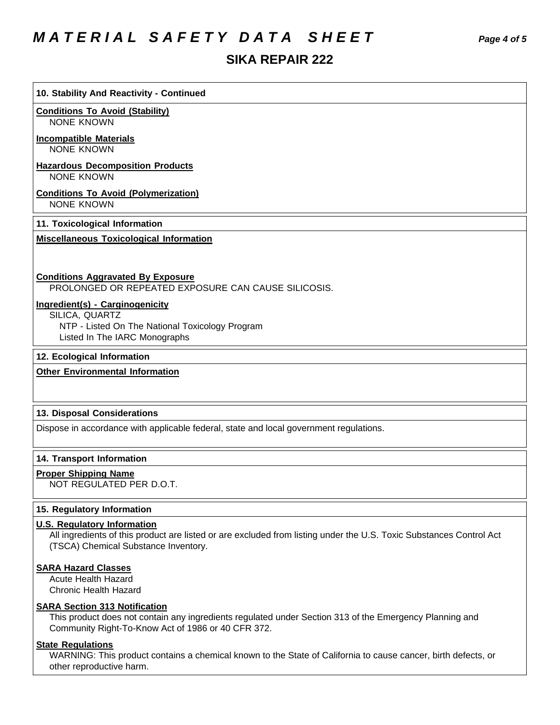# *M A T E R I A L S A F E T Y D A T A S H E E T Page 4 of 5*

## **SIKA REPAIR 222**

# **Conditions To Avoid (Stability)** NONE KNOWN **Incompatible Materials** NONE KNOWN **Hazardous Decomposition Products** NONE KNOWN **Conditions To Avoid (Polymerization)** NONE KNOWN **11. Toxicological Information Miscellaneous Toxicological Information Conditions Aggravated By Exposure** PROLONGED OR REPEATED EXPOSURE CAN CAUSE SILICOSIS. **Ingredient(s) - Carginogenicity** SILICA, QUARTZ

- NTP Listed On The National Toxicology Program
	- Listed In The IARC Monographs

**10. Stability And Reactivity - Continued**

## **12. Ecological Information**

## **Other Environmental Information**

## **13. Disposal Considerations**

Dispose in accordance with applicable federal, state and local government regulations.

## **14. Transport Information**

## **Proper Shipping Name**

NOT REGULATED PER D.O.T.

## **15. Regulatory Information**

## **U.S. Regulatory Information**

All ingredients of this product are listed or are excluded from listing under the U.S. Toxic Substances Control Act (TSCA) Chemical Substance Inventory.

## **SARA Hazard Classes**

Acute Health Hazard Chronic Health Hazard

## **SARA Section 313 Notification**

This product does not contain any ingredients regulated under Section 313 of the Emergency Planning and Community Right-To-Know Act of 1986 or 40 CFR 372.

## **State Regulations**

WARNING: This product contains a chemical known to the State of California to cause cancer, birth defects, or other reproductive harm.